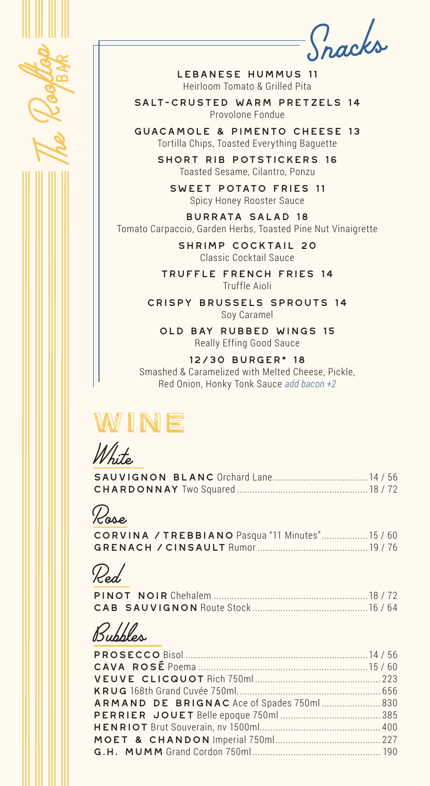

*Snacks*

Lebanese hummus 11 Heirloom Tomato & Grilled Pita

salt-crusted warm pretzels 14 Provolone Fondue

guacamole & pimento cheese 13 Tortilla Chips, Toasted Everything Baguette

> short rib potstickers 16 Toasted Sesame, Cilantro, Ponzu

sweet potato fries 11 Spicy Honey Rooster Sauce

Burrata salad 18 Tomato Carpaccio, Garden Herbs, Toasted Pine Nut Vinaigrette

> SHRIMP COCKTAIL 20 Classic Cocktail Sauce

truffle french fries 14 Truffle Aioli

Crispy Brussels Sprouts 14 Soy Caramel

old bay rubbed wings 15 Really Effing Good Sauce

12/30 burger\* 18 Smashed & Caramelized with Melted Cheese, Pickle, Red Onion, Honky Tonk Sauce *add bacon +2*

## WINE

*White*

| <b>SAUVIGNON BLANC Orchard Lane 14 / 56</b> |  |
|---------------------------------------------|--|
|                                             |  |

*Rose*

|  |  | CORVINA / TREBBIANO Pasqua "11 Minutes" 15 / 60 |
|--|--|-------------------------------------------------|
|  |  |                                                 |

*Red*

*Bubbles*

| ARMAND DE BRIGNAC Ace of Spades 750ml 830 |  |
|-------------------------------------------|--|
|                                           |  |
|                                           |  |
|                                           |  |
|                                           |  |
|                                           |  |